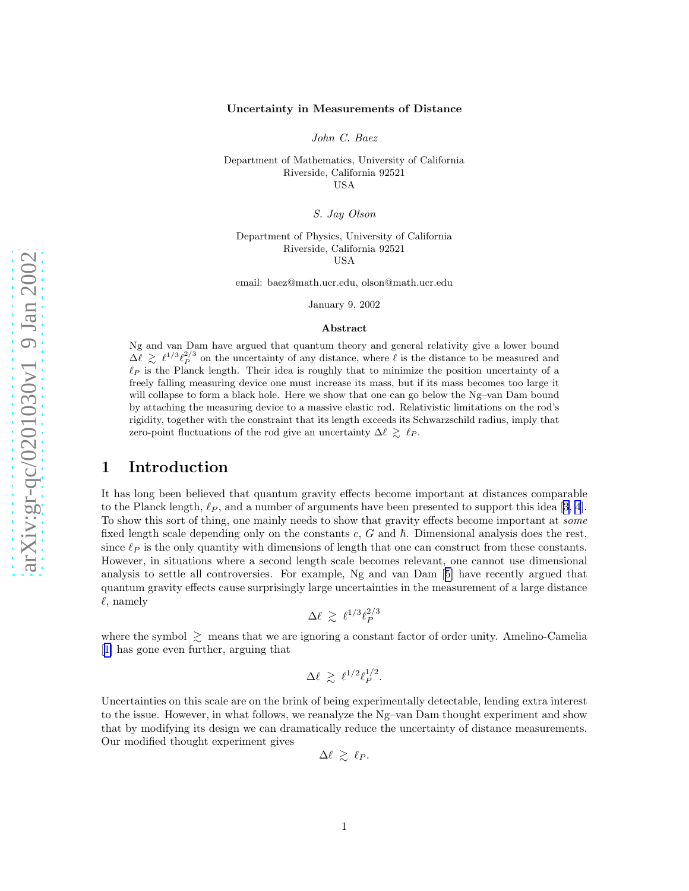#### Uncertainty in Measurements of Distance

John C. Baez

Department of Mathematics, University of California Riverside, California 92521 USA

S. Jay Olson

Department of Physics, University of California Riverside, California 92521 USA

email: baez@math.ucr.edu, olson@math.ucr.edu

January 9, 2002

#### Abstract

Ng and van Dam have argued that quantum theory and general relativity give a lower bound  $\Delta\ell \geq \ell^{1/3}\ell_P^{2/3}$  on the uncertainty of any distance, where  $\ell$  is the distance to be measured and  $\ell_P$  is the Planck length. Their idea is roughly that to minimize the position uncertainty of a freely falling measuring device one must increase its mass, but if its mass becomes too large it will collapse to form a black hole. Here we show that one can go below the Ng–van Dam bound by attaching the measuring device to a massive elastic rod. Relativistic limitations on the rod's rigidity, together with the constraint that its length exceeds its Schwarzschild radius, imply that zero-point fluctuations of the rod give an uncertainty  $\Delta \ell \gtrsim \ell_P$ .

#### 1 Introduction

It has long been believed that quantum gravity effects become important at distances comparable tothe Planck length,  $\ell_P$ , and a number of arguments have been presented to support this idea [[3, 4](#page-4-0)]. To show this sort of thing, one mainly needs to show that gravity effects become important at some fixed length scale depending only on the constants  $c, G$  and  $\hbar$ . Dimensional analysis does the rest, since  $\ell_P$  is the only quantity with dimensions of length that one can construct from these constants. However, in situations where a second length scale becomes relevant, one cannot use dimensional analysis to settle all controversies. For example, Ng and van Dam[[5\]](#page-4-0) have recently argued that quantum gravity effects cause surprisingly large uncertainties in the measurement of a large distance  $\ell$ , namely

$$
\Delta \ell \ \gtrsim \ \ell^{1/3} \ell_P^{2/3}
$$

where the symbol  $\geq$  means that we are ignoring a constant factor of order unity. Amelino-Camelia [[1\]](#page-4-0) has gone even further, arguing that

$$
\Delta \ell \ \gtrsim \ \ell^{1/2} \ell_P^{1/2}.
$$

Uncertainties on this scale are on the brink of being experimentally detectable, lending extra interest to the issue. However, in what follows, we reanalyze the Ng–van Dam thought experiment and show that by modifying its design we can dramatically reduce the uncertainty of distance measurements. Our modified thought experiment gives

 $\Delta \ell \ \gtrsim \ \ell_P.$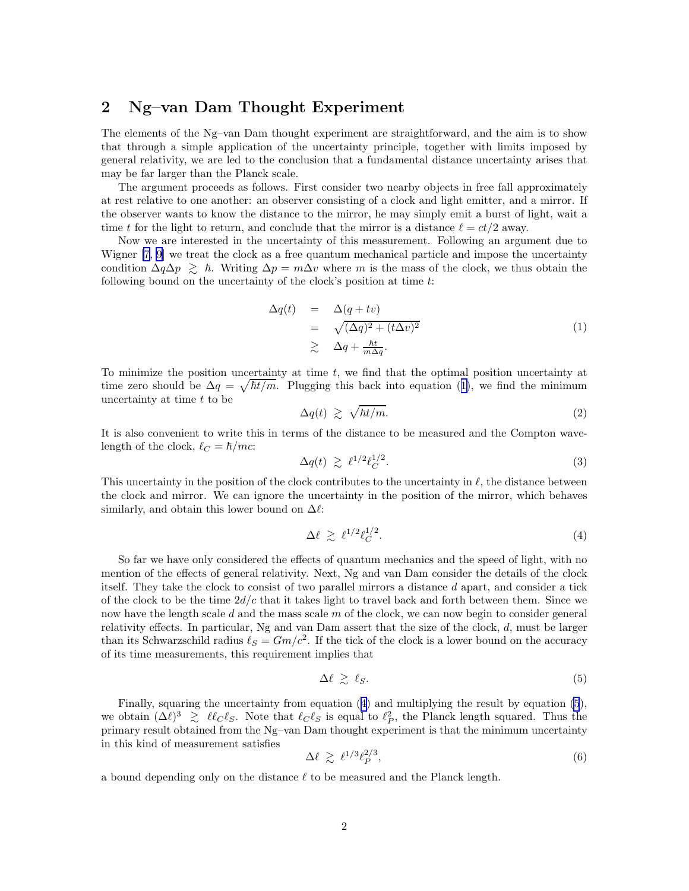# <span id="page-1-0"></span>2 Ng–van Dam Thought Experiment

The elements of the Ng–van Dam thought experiment are straightforward, and the aim is to show that through a simple application of the uncertainty principle, together with limits imposed by general relativity, we are led to the conclusion that a fundamental distance uncertainty arises that may be far larger than the Planck scale.

The argument proceeds as follows. First consider two nearby objects in free fall approximately at rest relative to one another: an observer consisting of a clock and light emitter, and a mirror. If the observer wants to know the distance to the mirror, he may simply emit a burst of light, wait a time t for the light to return, and conclude that the mirror is a distance  $\ell = ct/2$  away.

Now we are interested in the uncertainty of this measurement. Following an argument due to Wigner [\[7](#page-4-0), [9](#page-4-0)] we treat the clock as a free quantum mechanical particle and impose the uncertainty condition  $\Delta q \Delta p \geq \hbar$ . Writing  $\Delta p = m \Delta v$  where m is the mass of the clock, we thus obtain the following bound on the uncertainty of the clock's position at time  $t$ :

$$
\Delta q(t) = \Delta(q + tv)
$$
  
=  $\sqrt{(\Delta q)^2 + (t\Delta v)^2}$   

$$
\geq \Delta q + \frac{\hbar t}{m\Delta q}.
$$
 (1)

To minimize the position uncertainty at time  $t$ , we find that the optimal position uncertainty at time zero should be  $\Delta q = \sqrt{\hbar t/m}$ . Plugging this back into equation (1), we find the minimum uncertainty at time t to be

$$
\Delta q(t) \ge \sqrt{\hbar t/m}.\tag{2}
$$

It is also convenient to write this in terms of the distance to be measured and the Compton wavelength of the clock,  $\ell_C = \hbar/mc$ :

$$
\Delta q(t) \geq \ell^{1/2} \ell_C^{1/2}.
$$
\n(3)

This uncertainty in the position of the clock contributes to the uncertainty in  $\ell$ , the distance between the clock and mirror. We can ignore the uncertainty in the position of the mirror, which behaves similarly, and obtain this lower bound on  $\Delta \ell$ :

$$
\Delta \ell \ \gtrsim \ \ell^{1/2} \ell_C^{1/2}.\tag{4}
$$

So far we have only considered the effects of quantum mechanics and the speed of light, with no mention of the effects of general relativity. Next, Ng and van Dam consider the details of the clock itself. They take the clock to consist of two parallel mirrors a distance d apart, and consider a tick of the clock to be the time  $2d/c$  that it takes light to travel back and forth between them. Since we now have the length scale d and the mass scale  $m$  of the clock, we can now begin to consider general relativity effects. In particular, Ng and van Dam assert that the size of the clock, d, must be larger than its Schwarzschild radius  $\ell_s = Gm/c^2$ . If the tick of the clock is a lower bound on the accuracy of its time measurements, this requirement implies that

$$
\Delta \ell \geq \ell_S. \tag{5}
$$

Finally, squaring the uncertainty from equation (4) and multiplying the result by equation (5), we obtain  $(\Delta \ell)^3 \geq \ell \ell_C \ell_S$ . Note that  $\ell_C \ell_S$  is equal to  $\ell_P^2$ , the Planck length squared. Thus the primary result obtained from the Ng–van Dam thought experiment is that the minimum uncertainty in this kind of measurement satisfies

$$
\Delta \ell \geq \ell^{1/3} \ell_P^{2/3},\tag{6}
$$

a bound depending only on the distance  $\ell$  to be measured and the Planck length.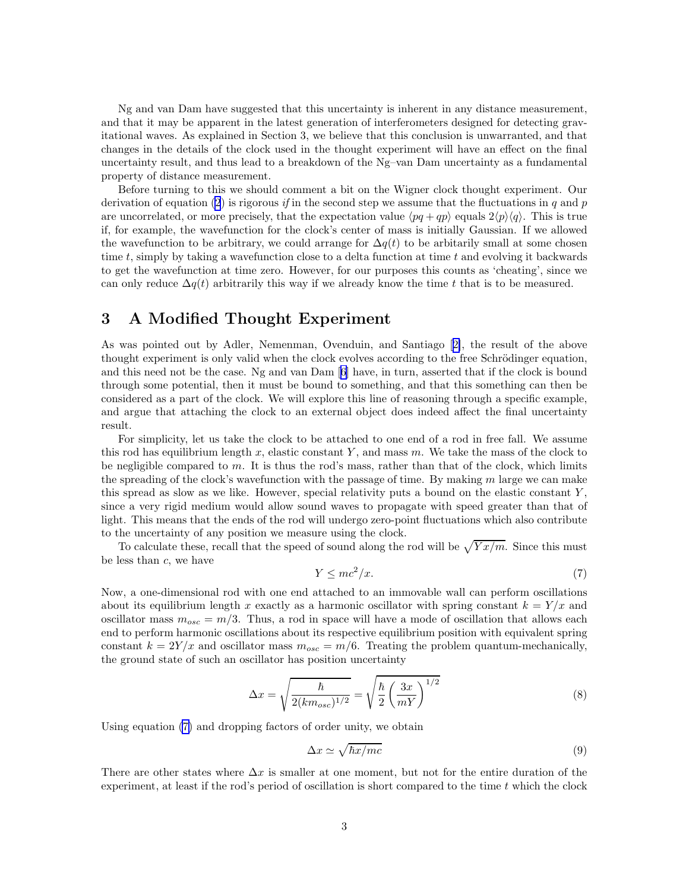Ng and van Dam have suggested that this uncertainty is inherent in any distance measurement, and that it may be apparent in the latest generation of interferometers designed for detecting gravitational waves. As explained in Section 3, we believe that this conclusion is unwarranted, and that changes in the details of the clock used in the thought experiment will have an effect on the final uncertainty result, and thus lead to a breakdown of the Ng–van Dam uncertainty as a fundamental property of distance measurement.

Before turning to this we should comment a bit on the Wigner clock thought experiment. Our derivation of equation [\(2](#page-1-0)) is rigorous if in the second step we assume that the fluctuations in q and p are uncorrelated, or more precisely, that the expectation value  $\langle pq + qp \rangle$  equals  $2\langle p \rangle \langle q \rangle$ . This is true if, for example, the wavefunction for the clock's center of mass is initially Gaussian. If we allowed the wavefunction to be arbitrary, we could arrange for  $\Delta q(t)$  to be arbitarily small at some chosen time t, simply by taking a wavefunction close to a delta function at time t and evolving it backwards to get the wavefunction at time zero. However, for our purposes this counts as 'cheating', since we can only reduce  $\Delta q(t)$  arbitrarily this way if we already know the time t that is to be measured.

# 3 A Modified Thought Experiment

As was pointed out by Adler, Nemenman, Ovenduin, and Santiago[[2\]](#page-4-0), the result of the above thought experiment is only valid when the clock evolves according to the free Schrödinger equation, and this need not be the case. Ng and van Dam[[6\]](#page-4-0) have, in turn, asserted that if the clock is bound through some potential, then it must be bound to something, and that this something can then be considered as a part of the clock. We will explore this line of reasoning through a specific example, and argue that attaching the clock to an external object does indeed affect the final uncertainty result.

For simplicity, let us take the clock to be attached to one end of a rod in free fall. We assume this rod has equilibrium length x, elastic constant Y, and mass  $m$ . We take the mass of the clock to be negligible compared to m. It is thus the rod's mass, rather than that of the clock, which limits the spreading of the clock's wavefunction with the passage of time. By making  $m$  large we can make this spread as slow as we like. However, special relativity puts a bound on the elastic constant  $Y$ . since a very rigid medium would allow sound waves to propagate with speed greater than that of light. This means that the ends of the rod will undergo zero-point fluctuations which also contribute to the uncertainty of any position we measure using the clock.

To calculate these, recall that the speed of sound along the rod will be  $\sqrt{Y x/m}$ . Since this must be less than  $c$ , we have

$$
Y \le mc^2/x. \tag{7}
$$

Now, a one-dimensional rod with one end attached to an immovable wall can perform oscillations about its equilibrium length x exactly as a harmonic oscillator with spring constant  $k = Y/x$  and oscillator mass  $m_{osc} = m/3$ . Thus, a rod in space will have a mode of oscillation that allows each end to perform harmonic oscillations about its respective equilibrium position with equivalent spring constant  $k = 2Y/x$  and oscillator mass  $m_{osc} = m/6$ . Treating the problem quantum-mechanically, the ground state of such an oscillator has position uncertainty

$$
\Delta x = \sqrt{\frac{\hbar}{2(km_{osc})^{1/2}}} = \sqrt{\frac{\hbar}{2} \left(\frac{3x}{mY}\right)^{1/2}}
$$
\n(8)

Using equation (7) and dropping factors of order unity, we obtain

$$
\Delta x \simeq \sqrt{\hbar x/mc} \tag{9}
$$

There are other states where  $\Delta x$  is smaller at one moment, but not for the entire duration of the experiment, at least if the rod's period of oscillation is short compared to the time  $t$  which the clock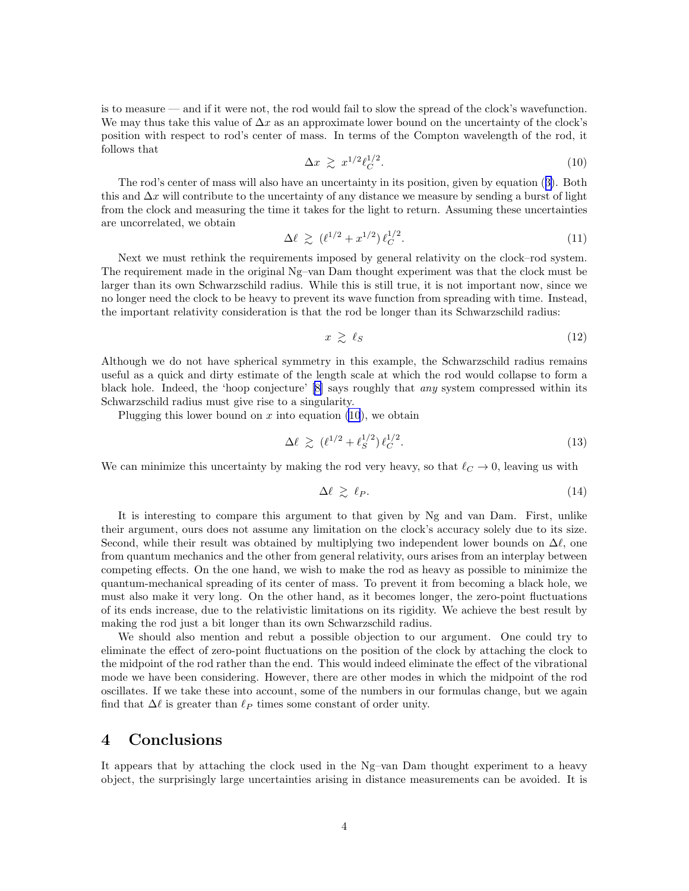is to measure — and if it were not, the rod would fail to slow the spread of the clock's wavefunction. We may thus take this value of  $\Delta x$  as an approximate lower bound on the uncertainty of the clock's position with respect to rod's center of mass. In terms of the Compton wavelength of the rod, it follows that

$$
\Delta x \geq x^{1/2} \ell_C^{1/2}.\tag{10}
$$

The rod's center of mass will also have an uncertainty in its position, given by equation([3\)](#page-1-0). Both this and  $\Delta x$  will contribute to the uncertainty of any distance we measure by sending a burst of light from the clock and measuring the time it takes for the light to return. Assuming these uncertainties are uncorrelated, we obtain

$$
\Delta \ell \, \gtrsim \, (\ell^{1/2} + x^{1/2}) \, \ell_C^{1/2}.\tag{11}
$$

Next we must rethink the requirements imposed by general relativity on the clock–rod system. The requirement made in the original Ng–van Dam thought experiment was that the clock must be larger than its own Schwarzschild radius. While this is still true, it is not important now, since we no longer need the clock to be heavy to prevent its wave function from spreading with time. Instead, the important relativity consideration is that the rod be longer than its Schwarzschild radius:

$$
x \ge \ell_S \tag{12}
$$

Although we do not have spherical symmetry in this example, the Schwarzschild radius remains useful as a quick and dirty estimate of the length scale at which the rod would collapse to form a black hole. Indeed, the 'hoop conjecture'[[8\]](#page-4-0) says roughly that any system compressed within its Schwarzschild radius must give rise to a singularity.

Plugging this lower bound on  $x$  into equation (10), we obtain

$$
\Delta \ell \ge (\ell^{1/2} + \ell_S^{1/2}) \ell_C^{1/2}.
$$
\n(13)

We can minimize this uncertainty by making the rod very heavy, so that  $\ell_{\mathcal{C}} \to 0$ , leaving us with

$$
\Delta \ell \geq \ell_P. \tag{14}
$$

It is interesting to compare this argument to that given by Ng and van Dam. First, unlike their argument, ours does not assume any limitation on the clock's accuracy solely due to its size. Second, while their result was obtained by multiplying two independent lower bounds on  $\Delta \ell$ , one from quantum mechanics and the other from general relativity, ours arises from an interplay between competing effects. On the one hand, we wish to make the rod as heavy as possible to minimize the quantum-mechanical spreading of its center of mass. To prevent it from becoming a black hole, we must also make it very long. On the other hand, as it becomes longer, the zero-point fluctuations of its ends increase, due to the relativistic limitations on its rigidity. We achieve the best result by making the rod just a bit longer than its own Schwarzschild radius.

We should also mention and rebut a possible objection to our argument. One could try to eliminate the effect of zero-point fluctuations on the position of the clock by attaching the clock to the midpoint of the rod rather than the end. This would indeed eliminate the effect of the vibrational mode we have been considering. However, there are other modes in which the midpoint of the rod oscillates. If we take these into account, some of the numbers in our formulas change, but we again find that  $\Delta \ell$  is greater than  $\ell_P$  times some constant of order unity.

# 4 Conclusions

It appears that by attaching the clock used in the Ng–van Dam thought experiment to a heavy object, the surprisingly large uncertainties arising in distance measurements can be avoided. It is